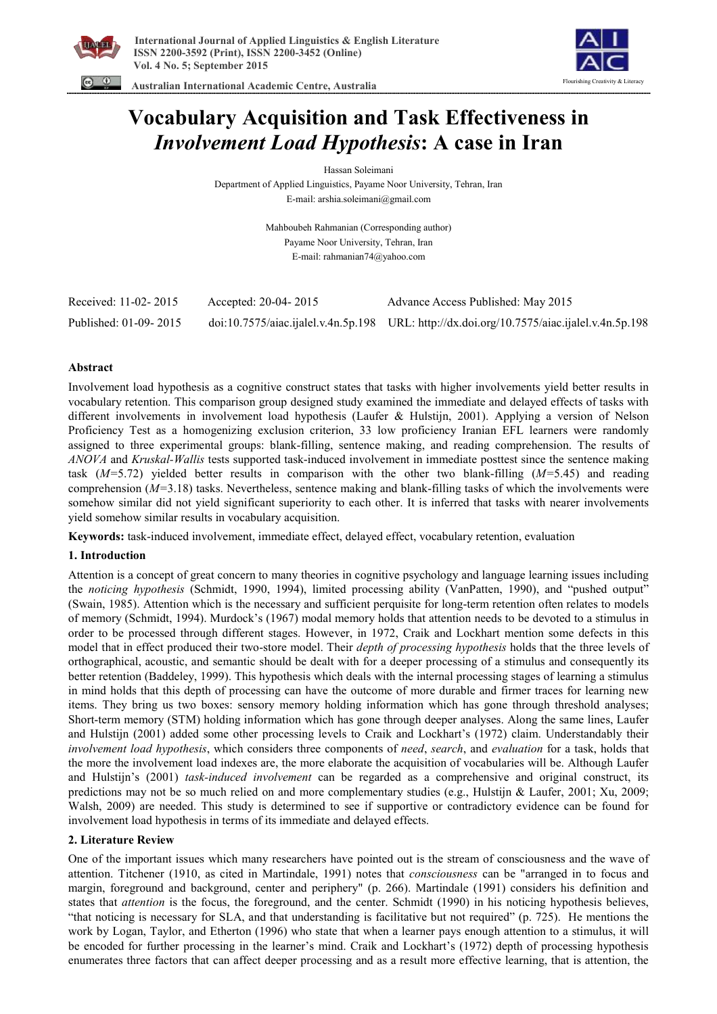



 **Australian International Academic Centre, Australia** 

# **Vocabulary Acquisition and Task Effectiveness in**  *Involvement Load Hypothesis***: A case in Iran**

Hassan Soleimani

Department of Applied Linguistics, Payame Noor University, Tehran, Iran E-mail: arshia.soleimani@gmail.com

> Mahboubeh Rahmanian (Corresponding author) Payame Noor University, Tehran, Iran E-mail: rahmanian74@yahoo.com

| Received: 11-02-2015  | Accepted: 20-04-2015 | Advance Access Published: May 2015                                                         |
|-----------------------|----------------------|--------------------------------------------------------------------------------------------|
| Published: 01-09-2015 |                      | doi:10.7575/aiac.ijalel.v.4n.5p.198 URL: http://dx.doi.org/10.7575/aiac.ijalel.v.4n.5p.198 |

## **Abstract**

Involvement load hypothesis as a cognitive construct states that tasks with higher involvements yield better results in vocabulary retention. This comparison group designed study examined the immediate and delayed effects of tasks with different involvements in involvement load hypothesis (Laufer & Hulstijn, 2001). Applying a version of Nelson Proficiency Test as a homogenizing exclusion criterion, 33 low proficiency Iranian EFL learners were randomly assigned to three experimental groups: blank-filling, sentence making, and reading comprehension. The results of *ANOVA* and *Kruskal-Wallis* tests supported task-induced involvement in immediate posttest since the sentence making task (*M=*5.72) yielded better results in comparison with the other two blank-filling (*M=*5.45) and reading comprehension (*M=*3.18) tasks. Nevertheless, sentence making and blank-filling tasks of which the involvements were somehow similar did not yield significant superiority to each other. It is inferred that tasks with nearer involvements yield somehow similar results in vocabulary acquisition.

**Keywords:** task-induced involvement, immediate effect, delayed effect, vocabulary retention, evaluation

## **1. Introduction**

Attention is a concept of great concern to many theories in cognitive psychology and language learning issues including the *noticing hypothesis* (Schmidt, 1990, 1994), limited processing ability (VanPatten, 1990), and "pushed output" (Swain, 1985). Attention which is the necessary and sufficient perquisite for long-term retention often relates to models of memory (Schmidt, 1994). Murdock's (1967) modal memory holds that attention needs to be devoted to a stimulus in order to be processed through different stages. However, in 1972, Craik and Lockhart mention some defects in this model that in effect produced their two-store model. Their *depth of processing hypothesis* holds that the three levels of orthographical, acoustic, and semantic should be dealt with for a deeper processing of a stimulus and consequently its better retention (Baddeley, 1999). This hypothesis which deals with the internal processing stages of learning a stimulus in mind holds that this depth of processing can have the outcome of more durable and firmer traces for learning new items. They bring us two boxes: sensory memory holding information which has gone through threshold analyses; Short-term memory (STM) holding information which has gone through deeper analyses. Along the same lines, Laufer and Hulstijn (2001) added some other processing levels to Craik and Lockhart's (1972) claim. Understandably their *involvement load hypothesis*, which considers three components of *need*, *search*, and *evaluation* for a task, holds that the more the involvement load indexes are, the more elaborate the acquisition of vocabularies will be. Although Laufer and Hulstijn's (2001) *task-induced involvement* can be regarded as a comprehensive and original construct, its predictions may not be so much relied on and more complementary studies (e.g., Hulstijn & Laufer, 2001; Xu, 2009; Walsh, 2009) are needed. This study is determined to see if supportive or contradictory evidence can be found for involvement load hypothesis in terms of its immediate and delayed effects.

## **2. Literature Review**

One of the important issues which many researchers have pointed out is the stream of consciousness and the wave of attention. Titchener (1910, as cited in Martindale, 1991) notes that *consciousness* can be "arranged in to focus and margin, foreground and background, center and periphery" (p. 266). Martindale (1991) considers his definition and states that *attention* is the focus, the foreground, and the center. Schmidt (1990) in his noticing hypothesis believes, "that noticing is necessary for SLA, and that understanding is facilitative but not required" (p. 725). He mentions the work by Logan, Taylor, and Etherton (1996) who state that when a learner pays enough attention to a stimulus, it will be encoded for further processing in the learner's mind. Craik and Lockhart's (1972) depth of processing hypothesis enumerates three factors that can affect deeper processing and as a result more effective learning, that is attention, the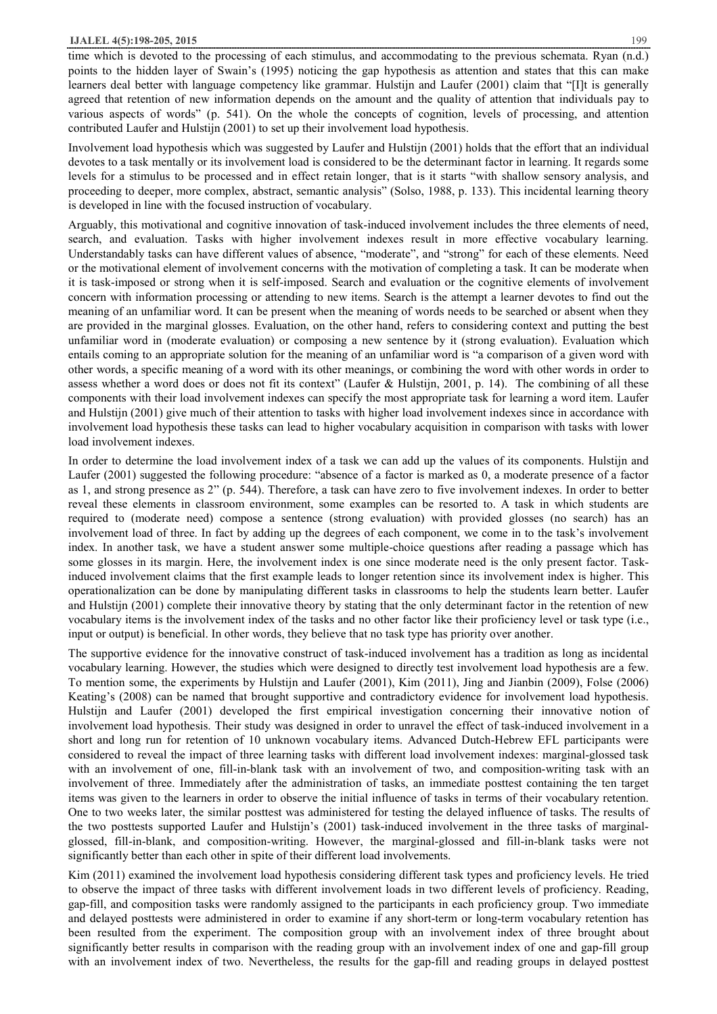time which is devoted to the processing of each stimulus, and accommodating to the previous schemata. Ryan (n.d.) points to the hidden layer of Swain's (1995) noticing the gap hypothesis as attention and states that this can make learners deal better with language competency like grammar. Hulstijn and Laufer (2001) claim that "[I]t is generally agreed that retention of new information depends on the amount and the quality of attention that individuals pay to various aspects of words" (p. 541). On the whole the concepts of cognition, levels of processing, and attention contributed Laufer and Hulstijn (2001) to set up their involvement load hypothesis.

Involvement load hypothesis which was suggested by Laufer and Hulstijn (2001) holds that the effort that an individual devotes to a task mentally or its involvement load is considered to be the determinant factor in learning. It regards some levels for a stimulus to be processed and in effect retain longer, that is it starts "with shallow sensory analysis, and proceeding to deeper, more complex, abstract, semantic analysis" (Solso, 1988, p. 133). This incidental learning theory is developed in line with the focused instruction of vocabulary.

Arguably, this motivational and cognitive innovation of task-induced involvement includes the three elements of need, search, and evaluation. Tasks with higher involvement indexes result in more effective vocabulary learning. Understandably tasks can have different values of absence, "moderate", and "strong" for each of these elements. Need or the motivational element of involvement concerns with the motivation of completing a task. It can be moderate when it is task-imposed or strong when it is self-imposed. Search and evaluation or the cognitive elements of involvement concern with information processing or attending to new items. Search is the attempt a learner devotes to find out the meaning of an unfamiliar word. It can be present when the meaning of words needs to be searched or absent when they are provided in the marginal glosses. Evaluation, on the other hand, refers to considering context and putting the best unfamiliar word in (moderate evaluation) or composing a new sentence by it (strong evaluation). Evaluation which entails coming to an appropriate solution for the meaning of an unfamiliar word is "a comparison of a given word with other words, a specific meaning of a word with its other meanings, or combining the word with other words in order to assess whether a word does or does not fit its context" (Laufer & Hulstijn, 2001, p. 14). The combining of all these components with their load involvement indexes can specify the most appropriate task for learning a word item. Laufer and Hulstijn (2001) give much of their attention to tasks with higher load involvement indexes since in accordance with involvement load hypothesis these tasks can lead to higher vocabulary acquisition in comparison with tasks with lower load involvement indexes.

In order to determine the load involvement index of a task we can add up the values of its components. Hulstijn and Laufer (2001) suggested the following procedure: "absence of a factor is marked as 0, a moderate presence of a factor as 1, and strong presence as 2" (p. 544). Therefore, a task can have zero to five involvement indexes. In order to better reveal these elements in classroom environment, some examples can be resorted to. A task in which students are required to (moderate need) compose a sentence (strong evaluation) with provided glosses (no search) has an involvement load of three. In fact by adding up the degrees of each component, we come in to the task's involvement index. In another task, we have a student answer some multiple-choice questions after reading a passage which has some glosses in its margin. Here, the involvement index is one since moderate need is the only present factor. Taskinduced involvement claims that the first example leads to longer retention since its involvement index is higher. This operationalization can be done by manipulating different tasks in classrooms to help the students learn better. Laufer and Hulstijn (2001) complete their innovative theory by stating that the only determinant factor in the retention of new vocabulary items is the involvement index of the tasks and no other factor like their proficiency level or task type (i.e., input or output) is beneficial. In other words, they believe that no task type has priority over another.

The supportive evidence for the innovative construct of task-induced involvement has a tradition as long as incidental vocabulary learning. However, the studies which were designed to directly test involvement load hypothesis are a few. To mention some, the experiments by Hulstijn and Laufer (2001), Kim (2011), Jing and Jianbin (2009), Folse (2006) Keating's (2008) can be named that brought supportive and contradictory evidence for involvement load hypothesis. Hulstijn and Laufer (2001) developed the first empirical investigation concerning their innovative notion of involvement load hypothesis. Their study was designed in order to unravel the effect of task-induced involvement in a short and long run for retention of 10 unknown vocabulary items. Advanced Dutch-Hebrew EFL participants were considered to reveal the impact of three learning tasks with different load involvement indexes: marginal-glossed task with an involvement of one, fill-in-blank task with an involvement of two, and composition-writing task with an involvement of three. Immediately after the administration of tasks, an immediate posttest containing the ten target items was given to the learners in order to observe the initial influence of tasks in terms of their vocabulary retention. One to two weeks later, the similar posttest was administered for testing the delayed influence of tasks. The results of the two posttests supported Laufer and Hulstijn's (2001) task-induced involvement in the three tasks of marginalglossed, fill-in-blank, and composition-writing. However, the marginal-glossed and fill-in-blank tasks were not significantly better than each other in spite of their different load involvements.

Kim (2011) examined the involvement load hypothesis considering different task types and proficiency levels. He tried to observe the impact of three tasks with different involvement loads in two different levels of proficiency. Reading, gap-fill, and composition tasks were randomly assigned to the participants in each proficiency group. Two immediate and delayed posttests were administered in order to examine if any short-term or long-term vocabulary retention has been resulted from the experiment. The composition group with an involvement index of three brought about significantly better results in comparison with the reading group with an involvement index of one and gap-fill group with an involvement index of two. Nevertheless, the results for the gap-fill and reading groups in delayed posttest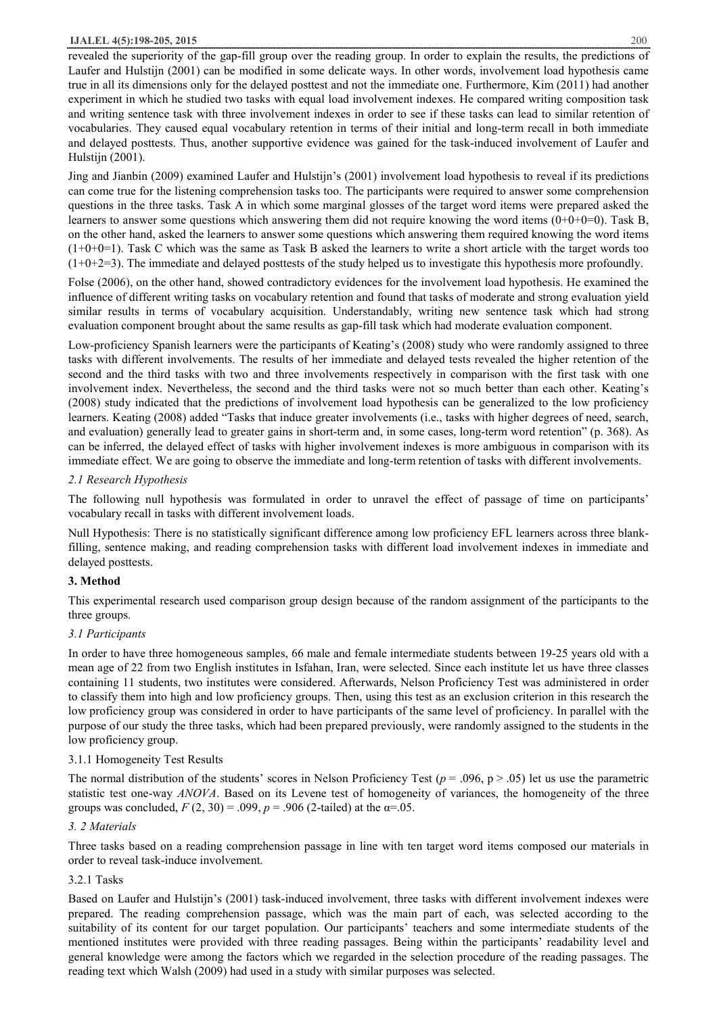#### **IJALEL 4(5):198-205, 2015** 200

revealed the superiority of the gap-fill group over the reading group. In order to explain the results, the predictions of Laufer and Hulstijn (2001) can be modified in some delicate ways. In other words, involvement load hypothesis came true in all its dimensions only for the delayed posttest and not the immediate one. Furthermore, Kim (2011) had another experiment in which he studied two tasks with equal load involvement indexes. He compared writing composition task and writing sentence task with three involvement indexes in order to see if these tasks can lead to similar retention of vocabularies. They caused equal vocabulary retention in terms of their initial and long-term recall in both immediate and delayed posttests. Thus, another supportive evidence was gained for the task-induced involvement of Laufer and Hulstijn (2001).

Jing and Jianbin (2009) examined Laufer and Hulstijn's (2001) involvement load hypothesis to reveal if its predictions can come true for the listening comprehension tasks too. The participants were required to answer some comprehension questions in the three tasks. Task A in which some marginal glosses of the target word items were prepared asked the learners to answer some questions which answering them did not require knowing the word items ( $0+0+0=0$ ). Task B, on the other hand, asked the learners to answer some questions which answering them required knowing the word items  $(1+0+0=1)$ . Task C which was the same as Task B asked the learners to write a short article with the target words too  $(1+0+2=3)$ . The immediate and delayed posttests of the study helped us to investigate this hypothesis more profoundly.

Folse (2006), on the other hand, showed contradictory evidences for the involvement load hypothesis. He examined the influence of different writing tasks on vocabulary retention and found that tasks of moderate and strong evaluation yield similar results in terms of vocabulary acquisition. Understandably, writing new sentence task which had strong evaluation component brought about the same results as gap-fill task which had moderate evaluation component.

Low-proficiency Spanish learners were the participants of Keating's (2008) study who were randomly assigned to three tasks with different involvements. The results of her immediate and delayed tests revealed the higher retention of the second and the third tasks with two and three involvements respectively in comparison with the first task with one involvement index. Nevertheless, the second and the third tasks were not so much better than each other. Keating's (2008) study indicated that the predictions of involvement load hypothesis can be generalized to the low proficiency learners. Keating (2008) added "Tasks that induce greater involvements (i.e., tasks with higher degrees of need, search, and evaluation) generally lead to greater gains in short-term and, in some cases, long-term word retention" (p. 368). As can be inferred, the delayed effect of tasks with higher involvement indexes is more ambiguous in comparison with its immediate effect. We are going to observe the immediate and long-term retention of tasks with different involvements.

## *2.1 Research Hypothesis*

The following null hypothesis was formulated in order to unravel the effect of passage of time on participants' vocabulary recall in tasks with different involvement loads.

Null Hypothesis: There is no statistically significant difference among low proficiency EFL learners across three blankfilling, sentence making, and reading comprehension tasks with different load involvement indexes in immediate and delayed posttests.

## **3. Method**

This experimental research used comparison group design because of the random assignment of the participants to the three groups.

## *3.1 Participants*

In order to have three homogeneous samples, 66 male and female intermediate students between 19-25 years old with a mean age of 22 from two English institutes in Isfahan, Iran, were selected. Since each institute let us have three classes containing 11 students, two institutes were considered. Afterwards, Nelson Proficiency Test was administered in order to classify them into high and low proficiency groups. Then, using this test as an exclusion criterion in this research the low proficiency group was considered in order to have participants of the same level of proficiency. In parallel with the purpose of our study the three tasks, which had been prepared previously, were randomly assigned to the students in the low proficiency group.

## 3.1.1 Homogeneity Test Results

The normal distribution of the students' scores in Nelson Proficiency Test  $(p = .096, p > .05)$  let us use the parametric statistic test one-way *ANOVA*. Based on its Levene test of homogeneity of variances, the homogeneity of the three groups was concluded,  $F(2, 30) = .099$ ,  $p = .906$  (2-tailed) at the  $\alpha = .05$ .

## *3. 2 Materials*

Three tasks based on a reading comprehension passage in line with ten target word items composed our materials in order to reveal task-induce involvement.

## 3.2.1 Tasks

Based on Laufer and Hulstijn's (2001) task-induced involvement, three tasks with different involvement indexes were prepared. The reading comprehension passage, which was the main part of each, was selected according to the suitability of its content for our target population. Our participants' teachers and some intermediate students of the mentioned institutes were provided with three reading passages. Being within the participants' readability level and general knowledge were among the factors which we regarded in the selection procedure of the reading passages. The reading text which Walsh (2009) had used in a study with similar purposes was selected.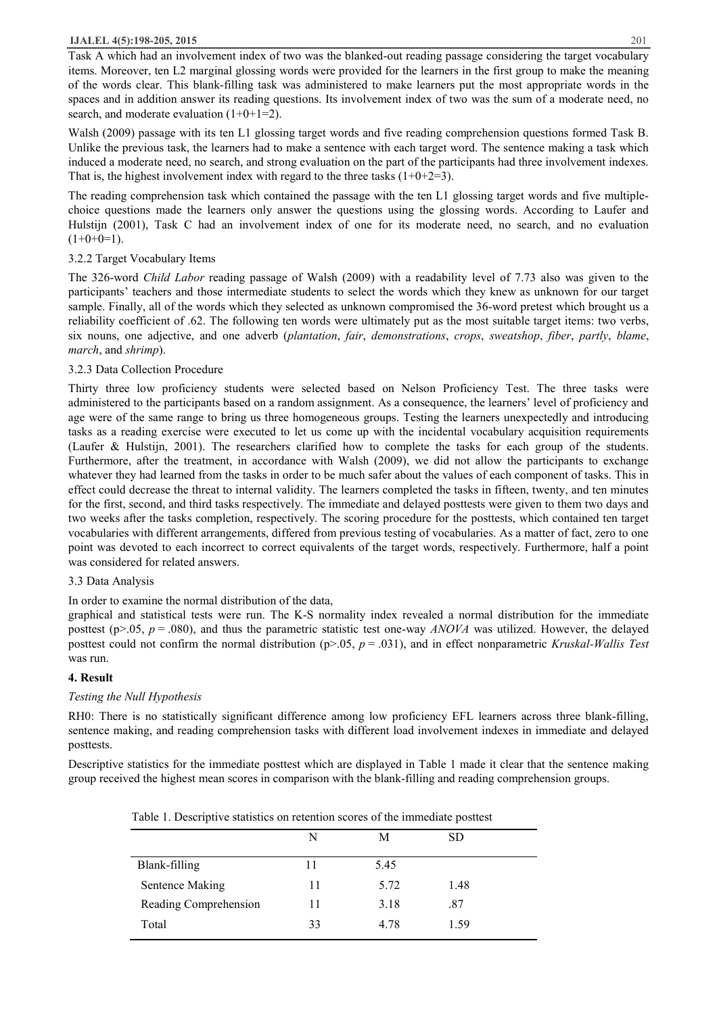#### **IJALEL 4(5):198-205, 2015** 201

Task A which had an involvement index of two was the blanked-out reading passage considering the target vocabulary items. Moreover, ten L2 marginal glossing words were provided for the learners in the first group to make the meaning of the words clear. This blank-filling task was administered to make learners put the most appropriate words in the spaces and in addition answer its reading questions. Its involvement index of two was the sum of a moderate need, no search, and moderate evaluation  $(1+0+1=2)$ .

Walsh (2009) passage with its ten L1 glossing target words and five reading comprehension questions formed Task B. Unlike the previous task, the learners had to make a sentence with each target word. The sentence making a task which induced a moderate need, no search, and strong evaluation on the part of the participants had three involvement indexes. That is, the highest involvement index with regard to the three tasks  $(1+0+2=3)$ .

The reading comprehension task which contained the passage with the ten L1 glossing target words and five multiplechoice questions made the learners only answer the questions using the glossing words. According to Laufer and Hulstijn (2001), Task C had an involvement index of one for its moderate need, no search, and no evaluation  $(1+0+0=1)$ .

## 3.2.2 Target Vocabulary Items

The 326-word *Child Labor* reading passage of Walsh (2009) with a readability level of 7.73 also was given to the participants' teachers and those intermediate students to select the words which they knew as unknown for our target sample. Finally, all of the words which they selected as unknown compromised the 36-word pretest which brought us a reliability coefficient of .62. The following ten words were ultimately put as the most suitable target items: two verbs, six nouns, one adjective, and one adverb (*plantation*, *fair*, *demonstrations*, *crops*, *sweatshop*, *fiber*, *partly*, *blame*, *march*, and *shrimp*).

## 3.2.3 Data Collection Procedure

Thirty three low proficiency students were selected based on Nelson Proficiency Test. The three tasks were administered to the participants based on a random assignment. As a consequence, the learners' level of proficiency and age were of the same range to bring us three homogeneous groups. Testing the learners unexpectedly and introducing tasks as a reading exercise were executed to let us come up with the incidental vocabulary acquisition requirements (Laufer & Hulstijn, 2001). The researchers clarified how to complete the tasks for each group of the students. Furthermore, after the treatment, in accordance with Walsh (2009), we did not allow the participants to exchange whatever they had learned from the tasks in order to be much safer about the values of each component of tasks. This in effect could decrease the threat to internal validity. The learners completed the tasks in fifteen, twenty, and ten minutes for the first, second, and third tasks respectively. The immediate and delayed posttests were given to them two days and two weeks after the tasks completion, respectively. The scoring procedure for the posttests, which contained ten target vocabularies with different arrangements, differed from previous testing of vocabularies. As a matter of fact, zero to one point was devoted to each incorrect to correct equivalents of the target words, respectively. Furthermore, half a point was considered for related answers.

#### 3.3 Data Analysis

In order to examine the normal distribution of the data,

graphical and statistical tests were run. The K-S normality index revealed a normal distribution for the immediate posttest (p>.05,  $p = .080$ ), and thus the parametric statistic test one-way *ANOVA* was utilized. However, the delayed posttest could not confirm the normal distribution (p>.05, *p* = .031), and in effect nonparametric *Kruskal-Wallis Test* was run.

#### **4. Result**

#### *Testing the Null Hypothesis*

RH0: There is no statistically significant difference among low proficiency EFL learners across three blank-filling, sentence making, and reading comprehension tasks with different load involvement indexes in immediate and delayed posttests.

Descriptive statistics for the immediate posttest which are displayed in Table 1 made it clear that the sentence making group received the highest mean scores in comparison with the blank-filling and reading comprehension groups.

|                       | N  | М    | SD.  |  |
|-----------------------|----|------|------|--|
| Blank-filling         | 11 | 5.45 |      |  |
| Sentence Making       | 11 | 5.72 | 1.48 |  |
| Reading Comprehension | 11 | 3.18 | .87  |  |
| Total                 | 33 | 4.78 | 1.59 |  |
|                       |    |      |      |  |

Table 1. Descriptive statistics on retention scores of the immediate posttest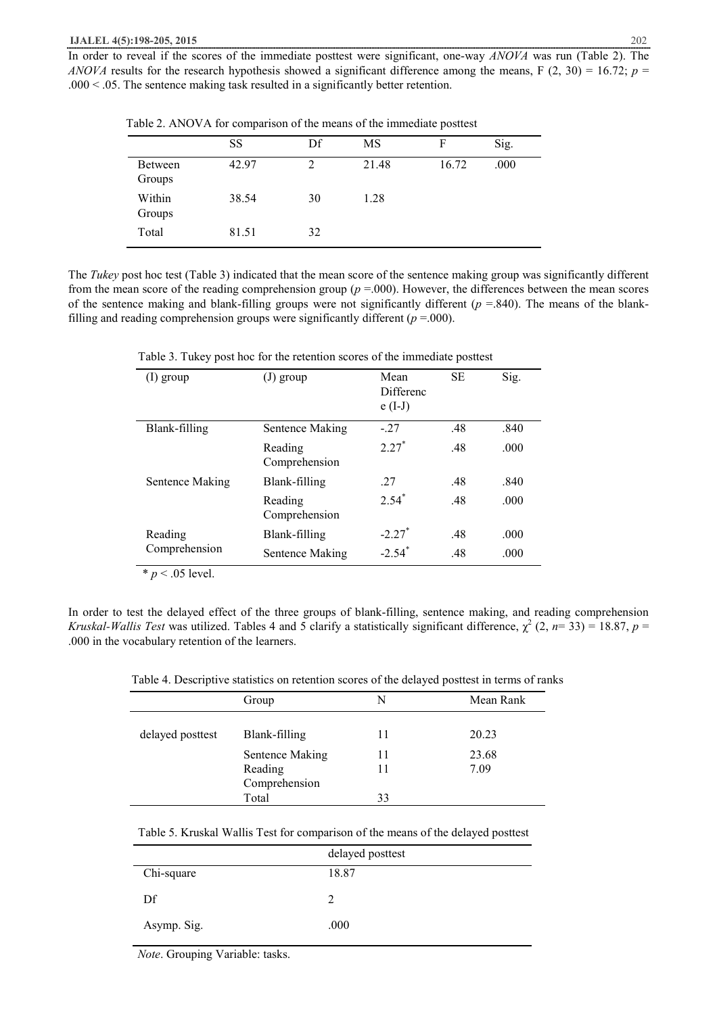In order to reveal if the scores of the immediate posttest were significant, one-way *ANOVA* was run (Table 2). The *ANOVA* results for the research hypothesis showed a significant difference among the means, F (2, 30) = 16.72;  $p =$ .000 < .05. The sentence making task resulted in a significantly better retention.

|                   | SS    | Df | MS    | F     | Sig. |
|-------------------|-------|----|-------|-------|------|
| Between<br>Groups | 42.97 | 2  | 21.48 | 16.72 | .000 |
| Within<br>Groups  | 38.54 | 30 | 1.28  |       |      |
| Total             | 81.51 | 32 |       |       |      |

Table 2. ANOVA for comparison of the means of the immediate posttest

The *Tukey* post hoc test (Table 3) indicated that the mean score of the sentence making group was significantly different from the mean score of the reading comprehension group ( $p = .000$ ). However, the differences between the mean scores of the sentence making and blank-filling groups were not significantly different  $(p = .840)$ . The means of the blankfilling and reading comprehension groups were significantly different  $(p = .000)$ .

Table 3. Tukey post hoc for the retention scores of the immediate posttest

| $(I)$ group     | $(J)$ group              | Mean<br><b>Differenc</b><br>$e(I-J)$ | <b>SE</b> | Sig. |
|-----------------|--------------------------|--------------------------------------|-----------|------|
| Blank-filling   | Sentence Making          | $-27$                                | .48       | .840 |
|                 | Reading<br>Comprehension | $2.27*$                              | .48       | .000 |
| Sentence Making | Blank-filling            | 27                                   | .48       | .840 |
|                 | Reading<br>Comprehension | $2.54*$                              | .48       | .000 |
| Reading         | Blank-filling            | $-2.27$ <sup>*</sup>                 | .48       | .000 |
| Comprehension   | Sentence Making          | $-2.54$ <sup>*</sup>                 | .48       | .000 |

 $\overline{\text{* } p \leq 0.05 \text{ level.}}$ 

In order to test the delayed effect of the three groups of blank-filling, sentence making, and reading comprehension *Kruskal-Wallis Test* was utilized. Tables 4 and 5 clarify a statistically significant difference,  $\chi^2$  (2, *n*= 33) = 18.87, *p* = .000 in the vocabulary retention of the learners.

| Table 4. Descriptive statistics on retention scores of the delayed posttest in terms of ranks |  |  |
|-----------------------------------------------------------------------------------------------|--|--|
|                                                                                               |  |  |

|                  | Group           | N  | Mean Rank |
|------------------|-----------------|----|-----------|
|                  |                 |    |           |
| delayed posttest | Blank-filling   | 11 | 20.23     |
|                  | Sentence Making | 11 | 23.68     |
|                  | Reading         | 11 | 7.09      |
|                  | Comprehension   |    |           |
|                  | Total           | 33 |           |

| Table 5. Kruskal Wallis Test for comparison of the means of the delayed posttest |
|----------------------------------------------------------------------------------|
|----------------------------------------------------------------------------------|

|             | delayed posttest |
|-------------|------------------|
| Chi-square  | 18.87            |
| Df          |                  |
| Asymp. Sig. | .000             |

 *Note*. Grouping Variable: tasks.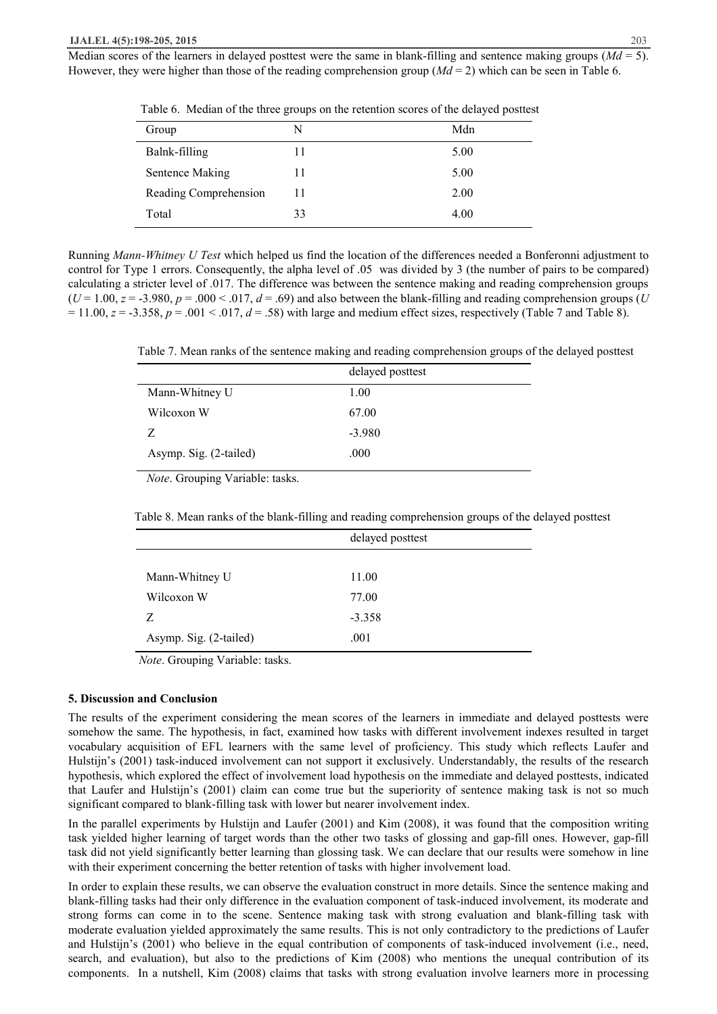Median scores of the learners in delayed posttest were the same in blank-filling and sentence making groups  $Md = 5$ ). However, they were higher than those of the reading comprehension group (*Md* = 2) which can be seen in Table 6.

| Group                 | N  | Mdn  |
|-----------------------|----|------|
| Balnk-filling         | 11 | 5.00 |
| Sentence Making       | 11 | 5.00 |
| Reading Comprehension | 11 | 2.00 |
| Total                 | 33 | 4.00 |

Table 6. Median of the three groups on the retention scores of the delayed posttest

Running *Mann-Whitney U Test* which helped us find the location of the differences needed a Bonferonni adjustment to control for Type 1 errors. Consequently, the alpha level of .05 was divided by 3 (the number of pairs to be compared) calculating a stricter level of .017. The difference was between the sentence making and reading comprehension groups  $(U=1.00, z=.3.980, p=.000-.017, d=.69)$  and also between the blank-filling and reading comprehension groups (*U*  $= 11.00$ ,  $z = -3.358$ ,  $p = .001 < .017$ ,  $d = .58$ ) with large and medium effect sizes, respectively (Table 7 and Table 8).

Table 7. Mean ranks of the sentence making and reading comprehension groups of the delayed posttest

|                        | delayed posttest |
|------------------------|------------------|
| Mann-Whitney U         | 1.00             |
| Wilcoxon W             | 67.00            |
| Z                      | $-3.980$         |
| Asymp. Sig. (2-tailed) | .000             |

 *Note*. Grouping Variable: tasks.

Table 8. Mean ranks of the blank-filling and reading comprehension groups of the delayed posttest

|                        | delayed posttest |
|------------------------|------------------|
|                        |                  |
| Mann-Whitney U         | 11.00            |
| Wilcoxon W             | 77.00            |
| Z                      | $-3.358$         |
| Asymp. Sig. (2-tailed) | .001             |

 *Note*. Grouping Variable: tasks.

#### **5. Discussion and Conclusion**

The results of the experiment considering the mean scores of the learners in immediate and delayed posttests were somehow the same. The hypothesis, in fact, examined how tasks with different involvement indexes resulted in target vocabulary acquisition of EFL learners with the same level of proficiency. This study which reflects Laufer and Hulstijn's (2001) task-induced involvement can not support it exclusively. Understandably, the results of the research hypothesis, which explored the effect of involvement load hypothesis on the immediate and delayed posttests, indicated that Laufer and Hulstijn's (2001) claim can come true but the superiority of sentence making task is not so much significant compared to blank-filling task with lower but nearer involvement index.

In the parallel experiments by Hulstijn and Laufer (2001) and Kim (2008), it was found that the composition writing task yielded higher learning of target words than the other two tasks of glossing and gap-fill ones. However, gap-fill task did not yield significantly better learning than glossing task. We can declare that our results were somehow in line with their experiment concerning the better retention of tasks with higher involvement load.

In order to explain these results, we can observe the evaluation construct in more details. Since the sentence making and blank-filling tasks had their only difference in the evaluation component of task-induced involvement, its moderate and strong forms can come in to the scene. Sentence making task with strong evaluation and blank-filling task with moderate evaluation yielded approximately the same results. This is not only contradictory to the predictions of Laufer and Hulstijn's (2001) who believe in the equal contribution of components of task-induced involvement (i.e., need, search, and evaluation), but also to the predictions of Kim (2008) who mentions the unequal contribution of its components. In a nutshell, Kim (2008) claims that tasks with strong evaluation involve learners more in processing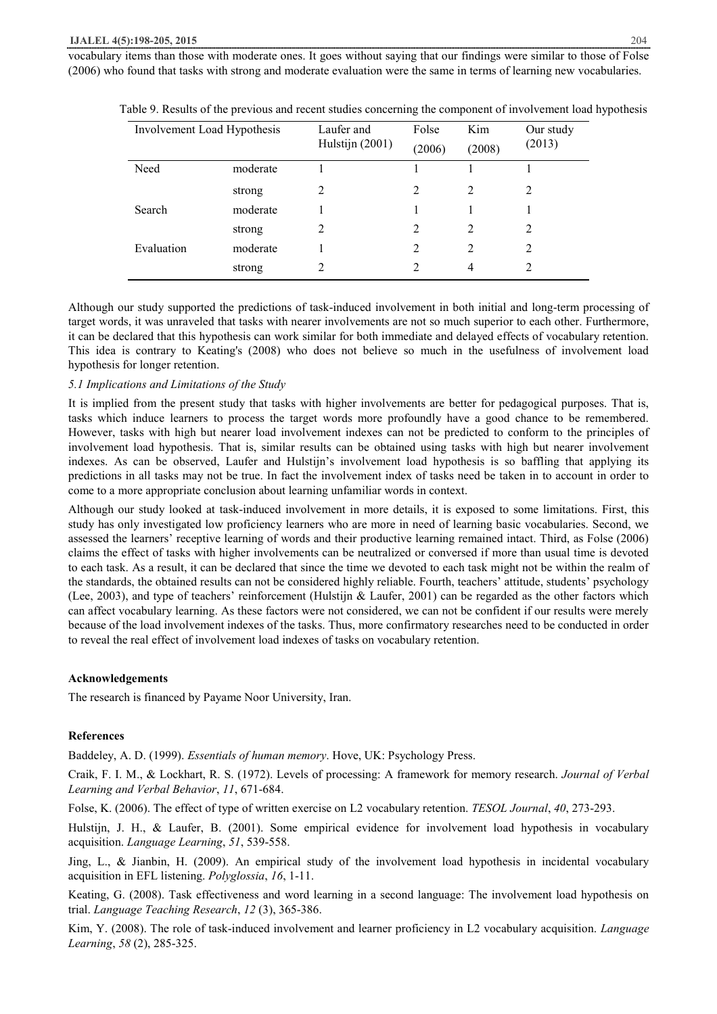vocabulary items than those with moderate ones. It goes without saying that our findings were similar to those of Folse (2006) who found that tasks with strong and moderate evaluation were the same in terms of learning new vocabularies.

| Involvement Load Hypothesis |          | Laufer and      | Folse                       | Kim            | Our study      |
|-----------------------------|----------|-----------------|-----------------------------|----------------|----------------|
|                             |          | Hulstijn (2001) | (2006)                      | (2008)         | (2013)         |
| Need                        | moderate |                 |                             |                |                |
|                             | strong   | 2               | 2                           | $\overline{2}$ | 2              |
| Search                      | moderate |                 |                             |                |                |
|                             | strong   | $\mathfrak{D}$  | $\mathfrak{D}$              | $\overline{2}$ | $\overline{2}$ |
| Evaluation                  | moderate |                 | 2                           | $\overline{2}$ | 2              |
|                             | strong   | 2               | $\mathcal{D}_{\mathcal{L}}$ | 4              | $\mathfrak{D}$ |
|                             |          |                 |                             |                |                |

Table 9. Results of the previous and recent studies concerning the component of involvement load hypothesis

Although our study supported the predictions of task-induced involvement in both initial and long-term processing of target words, it was unraveled that tasks with nearer involvements are not so much superior to each other. Furthermore, it can be declared that this hypothesis can work similar for both immediate and delayed effects of vocabulary retention. This idea is contrary to Keating's (2008) who does not believe so much in the usefulness of involvement load hypothesis for longer retention.

#### *5.1 Implications and Limitations of the Study*

It is implied from the present study that tasks with higher involvements are better for pedagogical purposes. That is, tasks which induce learners to process the target words more profoundly have a good chance to be remembered. However, tasks with high but nearer load involvement indexes can not be predicted to conform to the principles of involvement load hypothesis. That is, similar results can be obtained using tasks with high but nearer involvement indexes. As can be observed, Laufer and Hulstijn's involvement load hypothesis is so baffling that applying its predictions in all tasks may not be true. In fact the involvement index of tasks need be taken in to account in order to come to a more appropriate conclusion about learning unfamiliar words in context.

Although our study looked at task-induced involvement in more details, it is exposed to some limitations. First, this study has only investigated low proficiency learners who are more in need of learning basic vocabularies. Second, we assessed the learners' receptive learning of words and their productive learning remained intact. Third, as Folse (2006) claims the effect of tasks with higher involvements can be neutralized or conversed if more than usual time is devoted to each task. As a result, it can be declared that since the time we devoted to each task might not be within the realm of the standards, the obtained results can not be considered highly reliable. Fourth, teachers' attitude, students' psychology (Lee, 2003), and type of teachers' reinforcement (Hulstijn & Laufer, 2001) can be regarded as the other factors which can affect vocabulary learning. As these factors were not considered, we can not be confident if our results were merely because of the load involvement indexes of the tasks. Thus, more confirmatory researches need to be conducted in order to reveal the real effect of involvement load indexes of tasks on vocabulary retention.

#### **Acknowledgements**

The research is financed by Payame Noor University, Iran.

#### **References**

Baddeley, A. D. (1999). *Essentials of human memory*. Hove, UK: Psychology Press.

Craik, F. I. M., & Lockhart, R. S. (1972). Levels of processing: A framework for memory research. *Journal of Verbal Learning and Verbal Behavior*, *11*, 671-684.

Folse, K. (2006). The effect of type of written exercise on L2 vocabulary retention. *TESOL Journal*, *40*, 273-293.

Hulstijn, J. H., & Laufer, B. (2001). Some empirical evidence for involvement load hypothesis in vocabulary acquisition. *Language Learning*, *51*, 539-558.

Jing, L., & Jianbin, H. (2009). An empirical study of the involvement load hypothesis in incidental vocabulary acquisition in EFL listening. *Polyglossia*, *16*, 1-11.

Keating, G. (2008). Task effectiveness and word learning in a second language: The involvement load hypothesis on trial. *Language Teaching Research*, *12* (3), 365-386.

Kim, Y. (2008). The role of task-induced involvement and learner proficiency in L2 vocabulary acquisition. *Language Learning*, *58* (2), 285-325.